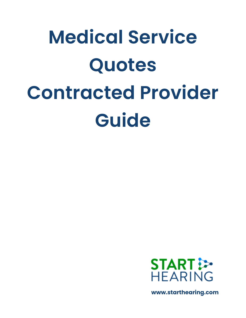# **Medical Service Quotes Contracted Provider Guide**



**www.starthearing.com**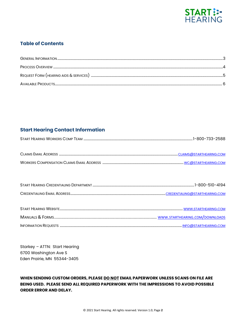

# **Table of Contents**

# **Start Hearing Contact Information**

Starkey - ATTN: Start Hearing 6700 Washington Ave S Eden Prairie, MN 55344-3405

WHEN SENDING CUSTOM ORDERS, PLEASE DO NOT EMAIL PAPERWORK UNLESS SCANS ON FILE ARE BEING USED. PLEASE SEND ALL REQUIRED PAPERWORK WITH THE IMPRESSIONS TO AVOID POSSIBLE **ORDER ERROR AND DELAY.**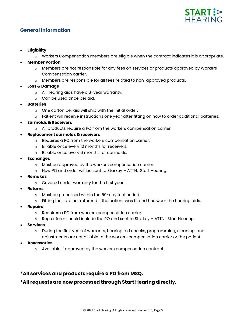

# **General Information**

- **Eligibility**
	- o Workers Compensation members are eligible when the contract indicates it is appropriate.
- **Member Portion**
	- o Members are not responsible for any fees on services or products approved by Workers Compensation carrier.
	- o Members are responsible for all fees related to non-approved products.
- **Loss & Damage**
	- o All hearing aids have a 3-year warranty.
	- o Can be used once per aid.
- **Batteries**
	- o One carton per aid will ship with the initial order.
	- $\circ$  Patient will receive instructions one year after fitting on how to order additional batteries.
- **Earmolds & Receivers**
	- o All products require a PO from the workers compensation carrier.
- **Replacement earmolds & receivers**
	- o Requires a PO from the workers compensation carrier.
	- o Billable once every 12 months for receivers.
	- o Billable once every 6 months for earmolds.
- **Exchanges**
	- o Must be approved by the workers compensation carrier.
	- o New PO and order will be sent to Starkey ATTN: Start Hearing.
- **Remakes**
	- o Covered under warranty for the first year.
- **Returns**
	- o Must be processed within the 60-day trial period.
	- $\circ$  Fitting fees are not returned if the patient was fit and has worn the hearing aids.
- **Repairs**
	- Requires a PO from workers compensation carrier.
	- o Repair form should include the PO and sent to Starkey ATTN: Start Hearing.
- **Services**
	- During the first year of warranty, hearing aid checks, programming, cleaning, and adjustments are not billable to the workers compensation carrier or the patient.
- **Accessories**
	- o Available if approved by the workers compensation contract.

# **\*All services and products require a PO from MSQ.**

# **\*All requests are now processed through Start Hearing directly.**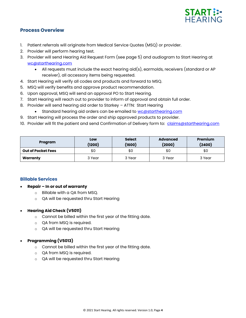

# **Process Overview**

- 1. Patient referrals will originate from Medical Service Quotes (MSQ) or provider.
- 2. Provider will perform hearing test.
- 3. Provider will send Hearing Aid Request Form (see page 5) and audiogram to Start Hearing at [wc@starthearing.com](mailto:wc@starthearing.com)
	- All requests must include the exact hearing aid(s), earmolds, receivers (standard or AP receiver), all accessory items being requested.
- 4. Start Hearing will verify all codes and products and forward to MSQ.
- 5. MSQ will verify benefits and approve product recommendation.
- 6. Upon approval, MSQ will send an approval PO to Start Hearing.
- 7. Start Hearing will reach out to provider to inform of approval and obtain full order.
- 8. Provider will send hearing aid order to Starkey ATTN: Start Hearing
	- Standard hearing aid orders can be emailed to [wc@starthearing.com](mailto:wc@starthearing.com)
- 9. Start Hearing will process the order and ship approved products to provider.
- 10. Provider will fit the patient and send Confirmation of Delivery form to: [claims@starthearing.com](mailto:claims@starthearing.com)

| Program                   | Low<br>(1200) | <b>Select</b><br>(1600) | <b>Advanced</b><br>(2000) | <b>Premium</b><br>(2400) |
|---------------------------|---------------|-------------------------|---------------------------|--------------------------|
| <b>Out of Pocket Fees</b> | \$0           | \$0                     | \$0                       | \$0                      |
| Warranty                  | 3 Year        | 3 Year                  | 3 Year                    | 3 Year                   |

# **Billable Services**

- **Repair – In or out of warranty**
	- o Billable with a QA from MSQ.
	- o QA will be requested thru Start Hearing

# • **Hearing Aid Check (V5011)**

- o Cannot be billed within the first year of the fitting date.
- o QA from MSQ is required.
- o QA will be requested thru Start Hearing

# • **Programming (V5013)**

- o Cannot be billed within the first year of the fitting date.
- o QA from MSQ is required.
- o QA will be requested thru Start Hearing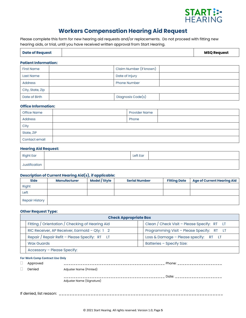

# **Workers Compensation Hearing Aid Request**

Please complete this form for new hearing aid requests and/or replacements. Do not proceed with fitting new hearing aids, or trial, until you have received written approval from Start Hearing.

### **Patient Information:**

| <b>First Name</b> | Claim Number (if known) |  |
|-------------------|-------------------------|--|
| Last Name         | Date of Injury          |  |
| <b>Address</b>    | <b>Phone Number</b>     |  |
| City, State, Zip  |                         |  |
| Date of Birth     | Diagnosis Code(s)       |  |

### **Office Information:**

| Office Name    |  | <b>Provider Name</b> |  |
|----------------|--|----------------------|--|
| <b>Address</b> |  | Phone                |  |
| City           |  |                      |  |
| State, ZIP     |  |                      |  |
| Contact email  |  |                      |  |

### **Hearing Aid Request:**

| <b>Right Ear</b> | Left Ear |  |
|------------------|----------|--|
| Justification    |          |  |

## **Description of Current Hearing Aid(s), if applicable:**

| <b>Side</b>           | <b>Manufacturer</b> | Model / Style | <b>Serial Number</b> | <b>Fitting Date</b> | <b>Age of Current Hearing Aid</b> |
|-----------------------|---------------------|---------------|----------------------|---------------------|-----------------------------------|
| Right                 |                     |               |                      |                     |                                   |
| Left                  |                     |               |                      |                     |                                   |
| <b>Repair History</b> |                     |               |                      |                     |                                   |

### **Other Request Type:**

|                                                                                                    | <b>Check Appropriate Box</b>                    |                                             |  |  |  |
|----------------------------------------------------------------------------------------------------|-------------------------------------------------|---------------------------------------------|--|--|--|
|                                                                                                    | Fitting / Orientation / Checking of Hearing Aid | Clean / Check Visit - Please Specify: RT LT |  |  |  |
| Programming Visit - Please Specify: RT LT<br>RIC Receiver, AP Receiver, Earmold - Qty: $1 \quad 2$ |                                                 |                                             |  |  |  |
|                                                                                                    | Repair / Repair Refit - Please Specify: RT LT   | Loss & Damage - Please specify: $RT$ LT     |  |  |  |
|                                                                                                    | <b>Wax Guards</b>                               | Batteries - Specify Size:                   |  |  |  |
|                                                                                                    | Accessory - Please Specify:                     |                                             |  |  |  |

### **For Work Comp Contract Use Only**

| ப | Approved |                           | Phone: |
|---|----------|---------------------------|--------|
|   | Denied   | Adjuster Name (Printed)   |        |
|   |          |                           | Date:  |
|   |          | Adjuster Name (Signature) |        |
|   |          |                           |        |

If denied, list reason: \_\_\_\_\_\_\_\_\_\_\_\_\_\_\_\_\_\_\_\_\_\_\_\_\_\_\_\_\_\_\_\_\_\_\_\_\_\_\_\_\_\_\_\_\_\_\_\_\_\_\_\_\_\_\_\_\_\_\_\_\_\_